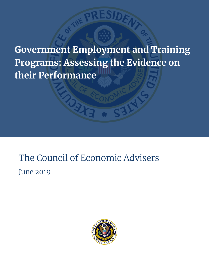**Government Employment and Training Programs: Assessing the Evidence on their Performance**

# The Council of Economic Advisers June 2019

Og

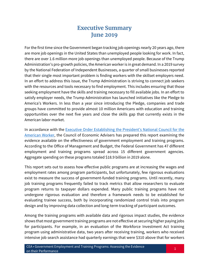## **Executive Summary June 2019**

For the first time since the Government began tracking job openings nearly 20 years ago, there are more job openings in the United States than unemployed people looking for work. In fact, there are over 1.6 million more job openings than unemployed people. Because of the Trump Administration's pro-growth policies, the American worker is in great demand. In a 2019 survey by the National Federation of Independent Businesses, a quarter of small businesses reported that their single most important problem is finding workers with the skillset employers need. In an effort to address this issue, the Trump Administration is striving to connect job seekers with the resources and tools necessary to find employment. This includes ensuring that those seeking employment have the skills and training necessary to fill available jobs. In an effort to satisfy employer needs, the Trump Administration has launched initiatives like the Pledge to America's Workers. In less than a year since introducing the Pledge, companies and trade groups have committed to provide almost 10 million Americans with education and training opportunities over the next five years and close the skills gap that currently exists in the American labor market.

In accordance with the [Executive Order Establishing the President's National Council for the](https://www.whitehouse.gov/presidential-actions/executive-order-establishing-presidents-national-council-american-worker/)  [American Worker,](https://www.whitehouse.gov/presidential-actions/executive-order-establishing-presidents-national-council-american-worker/) the Council of Economic Advisers has prepared this report examining the evidence available on the effectiveness of government employment and training programs. According to the Office of Management and Budget, the Federal Government has 47 different employment and training programs spread across 15 different government agencies. Aggregate spending on these programs totaled \$18.9 billion in 2019 alone.

This report sets out to assess how effective public programs are at increasing the wages and employment rates among program participants, but unfortunately, few rigorous evaluations exist to measure the success of government-funded training programs. Until recently, many job training programs frequently failed to track metrics that allow researchers to evaluate program returns to taxpayer dollars expended. Many public training programs have not undergone rigorous evaluation and therefore a framework needs to be established for evaluating trainee success, both by incorporating randomized control trials into program design and by improving data collection and long-term tracking of participant outcomes.

Among the training programs with available data and rigorous impact studies, the evidence shows that most government training programs are not effective at securing higher paying jobs for participants. For example, in an evaluation of the Workforce Investment Act training program using administrative data, two years after receiving training, workers who received intensive job search assistance had quarterly earnings that were \$310 above that for workers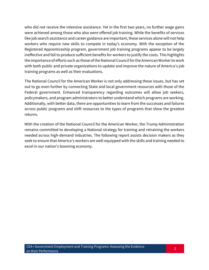who did not receive the intensive assistance. Yet in the first two years, no further wage gains were achieved among those who also were offered job training. While the benefits of services like job search assistance and career guidance are important, these services alone will not help workers who require new skills to compete in today's economy. With the exception of the Registered Apprenticeship program, government job training programs appear to be largely ineffective and fail to produce sufficient benefits for workers to justify the costs. This highlights the importance of efforts such as those of the National Council for the American Worker to work with both public and private organizations to update and improve the nature of America's job training programs as well as their evaluations.

The National Council for the American Worker is not only addressing these issues, but has set out to go even further by connecting State and local government resources with those of the Federal government. Enhanced transparency regarding outcomes will allow job seekers, policymakers, and program administrators to better understand which programs are working. Additionally, with better data, there are opportunities to learn from the successes and failures across public programs and shift resources to the types of programs that show the greatest returns.

With the creation of the National Council for the American Worker, the Trump Administration remains committed to developing a National strategy for training and retraining the workers needed across high-demand industries. The following report assists decision makers as they seek to ensure that America's workers are well-equipped with the skills and training needed to excel in our nation's booming economy.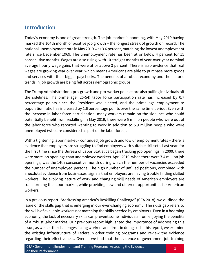## **Introduction**

Today's economy is one of great strength. The job market is booming, with May 2019 having marked the 104th month of positive job growth – the longest streak of growth on record. The national unemployment rate in May 2019 was 3.6 percent, matching the lowest unemployment rate since December 1969. The unemployment rate has been at or below 4 percent for 15 consecutive months. Wages are also rising, with 10 straight months of year-over-year nominal average hourly wage gains that were at or above 3 percent. There is also evidence that real wages are growing year over year, which means Americans are able to purchase more goods and services with their bigger paychecks. The benefits of a robust economy and the historic trends in job growth are being felt across demographic groups.

The Trump Administration's pro-growth and pro-worker policies are also pulling individuals off the sidelines. The prime age (25-54) labor force participation rate has increased by 0.7 percentage points since the President was elected, and the prime age employment to population ratio has increased by 1.6 percentage points over the same time period. Even with the increase in labor force participation, many workers remain on the sidelines who could potentially benefit from reskilling. In May 2019, there were 5 million people who were out of the labor force who reported wanting to work in addition to 5.9 million people who were unemployed (who are considered as part of the labor force).

With a tightening labor market – continued job growth and low unemployment rates – there is evidence that employers are struggling to find employees with suitable skillsets. Last year, for the first time since the Bureau of Labor Statistics began tracking job openings in 2000, there were more job openings than unemployed workers. April 2019, when there were 7.4 million job openings, was the 14th consecutive month during which the number of vacancies exceeded the number of unemployed persons. The high number of unfilled positions, combined with anecdotal evidence from businesses, signals that employers are having trouble finding skilled workers. The evolving nature of work and changing skill needs of American employers are transforming the labor market, while providing new and different opportunities for American workers.

In a previous report, "Addressing America's Reskilling Challenge" (CEA 2018), we outlined the issue of the skills gap that is emerging in our ever-changing economy. The skills gap refers to the skills of available workers not matching the skills needed by employers. Even in a booming economy, the lack of necessary skills can prevent some individuals from enjoying the benefits of a robust labor market. Our previous report highlighted the importance of addressing this issue, as well as the challenges facing workers and firms in doing so. In this report, we examine the existing infrastructure of Federal worker training programs and review the evidence regarding their effectiveness. Overall, we find that the evidence of government job training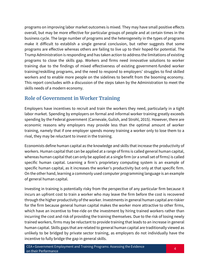programs on improving labor market outcomes is mixed. They may have small positive effects overall, but may be more effective for particular groups of people and at certain times in the business cycle. The large number of programs and the heterogeneity in the types of programs make it difficult to establish a single general conclusion, but rather suggests that some programs are effective whereas others are failing to live up to their hoped-for potential. The Trump Administration is responding and has taken action to address the limitations of existing programs to close the skills gap. Workers and firms need innovative solutions to worker training due to the findings of mixed effectiveness of existing government-funded worker training/reskilling programs, and the need to respond to employers' struggles to find skilled workers and to enable more people on the sidelines to benefit from the booming economy. This report concludes with a discussion of the steps taken by the Administration to meet the skills needs of a modern economy.

## **Role of Government in Worker Training**

Employers have incentives to recruit and train the workers they need, particularly in a tight labor market. Spending by employers on formal and informal worker training greatly exceeds spending by the Federal government (Carnevale, Gulish, and Strohl, 2015). However, there are economic reasons why employers may provide less than the optimal amount of worker training, namely that if one employer spends money training a worker only to lose them to a rival, they may be reluctant to invest in the training.

Economists define human capital as the knowledge and skills that increase the productivity of workers. Human capital that can be applied at a range of firms is called general human capital, whereas human capital that can only be applied at a single firm (or a small set of firms) is called specific human capital. Learning a firm's proprietary computing system is an example of specific human capital, as it increases the worker's productivity but only at that specific firm. On the other hand, learning a commonly used computer programming language is an example of general human capital.

Investing in training is potentially risky from the perspective of any particular firm because it incurs an upfront cost to train a worker who may leave the firm before the cost is recovered through the higher productivity of the worker. Investments in general human capital are riskier for the firm because general human capital makes the worker more attractive to other firms, which have an incentive to free-ride on the investment by hiring trained workers rather than incurring the cost and risk of providing the training themselves. Due to the risk of losing newly trained workers, firms may be reluctant to provide training that leads to an increase in general human capital. Skills gaps that are related to general human capital are traditionally viewed as unlikely to be bridged by private sector training, as employers do not individually have the incentive to fully bridge the gap in general skills.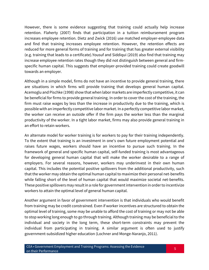However, there is some evidence suggesting that training could actually help increase retention. Flaherty (2007) finds that participation in a tuition reimbursement program increases employee retention. Dietz and Zwick (2016) use matched employer-employee data and find that training increases employee retention. However, the retention effects are reduced for more general forms of training and for training that has greater external visibility (e.g. training that leads to a certificate).Yousuf and Siddiqui (2019) also find that training may increase employee retention rates though they did not distinguish between general and firmspecific human capital. This suggests that employer-provided training could create goodwill towards an employer.

Although in a simple model, firms do not have an incentive to provide general training, there are situations in which firms will provide training that develops general human capital. Acemoglu and Pischke (1998) show that when labor markets are imperfectly competitive, it can be beneficial for firms to provide general training. In order to cover the cost of the training, the firm must raise wages by less than the increase in productivity due to the training, which is possible with an imperfectly competitive labor market. In a perfectly competitive labor market, the worker can receive an outside offer if the firm pays the worker less than the marginal productivity of the worker. In a tight labor market, firms may also provide general training in an effort to retain workers.

An alternate model for worker training is for workers to pay for their training independently. To the extent that training is an investment in one's own future employment potential and raises future wages, workers should have an incentive to pursue such training. In the framework of general and specific human capital, self-funded training is most advantageous for developing general human capital that will make the worker desirable to a range of employers. For several reasons, however, workers may underinvest in their own human capital. This includes the potential positive spillovers from the additional productivity, such that the worker may obtain the optimal human capital to maximize their personal net-benefits while falling short of the level of human capital that would maximize societal net-benefits. These positive spillovers may result in a role for government intervention in order to incentivize workers to attain the optimal level of general human capital.

Another argument in favor of government intervention is that individuals who would benefit from training may be credit constrained. Even if worker incentives are structured to obtain the optimal level of training, some may be unable to afford the cost of training or may not be able to stop working long enough to go through training. Although training may be beneficial to the individual and society in the long term, these short-term constraints may prevent the individual from participating in training. A similar argument is often used to justify government-subsidized higher education (Lochner and Monge-Naranjo, 2011).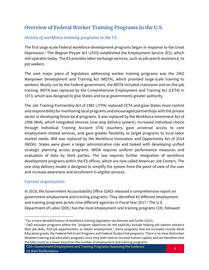## **Overview of Federal Worker Training Programs in the U.S.**

#### *History of workforce training programs in the US*

The first large-scale Federal workforce development programs began in response to the Great Depression.<sup>1</sup> The Wagner-Peyser Act (1933) established the Employment Service (ES), which still operates today. The ES provides labor exchange services, such as job search assistance, to job seekers.

The next major piece of legislation addressing worker training programs was the 1962 Manpower Development and Training Act (MDTA), which provided large-scale training to workers. Mostly run by the Federal government, the MDTA included classroom and on-the-job training. MDTA was replaced by the Comprehensive Employment and Training Act (CETA) in 1973, which was designed to give States and local governments greater authority.

The Job Training Partnership Act of 1982 (JTPA) replaced CETA and gave States more control and responsibility for monitoring local programs and encouraged partnerships with the private sector in developing those local programs. It was replaced by the Workforce Investment Act of 1998 (WIA), which integrated services (one-stop delivery system), increased individual choice through Individual Training Account (ITA) vouchers, gave universal access to core employment-related services, and gave greater flexibility to target programs to local labor market needs. WIA was replaced by the Workforce Innovation and Opportunity Act of 2014 (WIOA). States were given a larger administrative role and tasked with developing unified strategic planning across programs. WIOA requires uniform performance measures and evaluation of data by third parties. The law requires further integration of workforce development programs within the ES offices, which are now called American Job Centers. The one-stop delivery model is designed to simplify the system from the point of view of the user and increase awareness and enrollment in eligible services.

#### *Current organization*

In 2019, the Government Accountability Office (GAO) released a comprehensive report on government employment and training programs. They identified 43 different employment and training programs across nine different agencies in Fiscal Year 2017.<sup>2</sup> The U.S. Department of Labor (DOL) has the most employment and training programs (19), followed

l  $1$  For a more detailed history of workforce training legislation see Barnow and Smith (2015).

<sup>&</sup>lt;sup>2</sup> GAO excludes programs where the "program objectives do not explicitly include helping job seekers enhance their job skills, find job opportunities, or obtain employment." Some programs that are excluded include Adult Education grants, the Federal Pell Grant Program, and Federal Student Aid programs. There is no clear distinction between training and education programs since they both seek to increase human capital, and we therefore view the GAO count as a lower bound on the number of employment and training programs.

CEA • Government Employment and Training Programs: Assessing the Evidence on their Performance <sup>6</sup>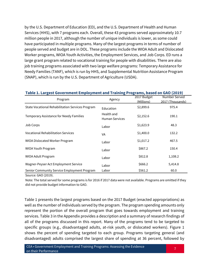by the U.S. Department of Education (ED), and the U.S. Department of Health and Human Services (HHS), with 7 programs each. Overall, these 43 programs served approximately 10.7 million people in 2017, although the number of unique individuals is lower, as some could have participated in multiple programs. Many of the largest programs in terms of number of people served and budget are in DOL. These programs include the WIOA Adult and Dislocated Worker programs, WIOA Youth Activities, the Employment Services, and Job Corps. ED runs a large grant program related to vocational training for people with disabilities. There are also job training programs associated with two large welfare programs: Temporary Assistance for Needy Families (TANF), which is run by HHS, and Supplemental Nutrition Assistance Program (SNAP), which is run by the U.S. Department of Agriculture (USDA).

#### **Table 1. Largest Government Employment and Training Programs, based on GAO (2019)**

| Program                                          | Agency                              | 2017 Budget<br>(Millions) | Number Served<br>2017 (Thousands) |
|--------------------------------------------------|-------------------------------------|---------------------------|-----------------------------------|
| State Vocational Rehabilitation Services Program | Education                           | \$2,899.6                 | 975.4                             |
| Temporary Assistance for Needy Families          | Health and<br><b>Human Services</b> | \$2,152.6                 | 190.1                             |
| Job Corps                                        | Labor                               | \$1,623.9                 | 48.3                              |
| <b>Vocational Rehabilitation Services</b>        | VA                                  | \$1,400.0                 | 132.2                             |
| WIOA Dislocated Worker Program                   | Labor                               | \$1,017.2                 | 467.5                             |
| <b>WIOA Youth Program</b>                        | Labor                               | \$867.2                   | 150.4                             |
| WIOA Adult Program                               | Labor                               | \$812.8                   | 1,108.2                           |
| Wagner-Peyser Act Employment Service             | Labor                               | \$666.2                   | 5,414.8                           |
| Senior Community Service Employment Program      | Labor                               | \$561.2                   | 60.0                              |

Source: GAO (2019).

Note: The total served for some programs is for 2016 if 2017 data were not available. Programs are omitted if they did not provide budget information to GAO.

Table 1 presents the largest programs based on the 2017 Budget (enacted appropriations) as well as the number of individuals served by the program. The program spending amounts only represent the portion of the overall program that goes towards employment and training services. Table 3 in the Appendix provides a description and a summary of research findings of all of the programs discussed in this report. Many of the programs tend to be targeted to specific groups (e.g., disadvantaged adults, at-risk youth, or dislocated workers). Figure 1 shows the percent of spending targeted to each group. Programs targeting general (and disadvantaged) adults comprised the largest share of spending at 36 percent, followed by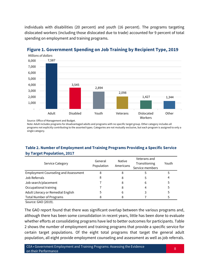individuals with disabilities (20 percent) and youth (16 percent). The programs targeting dislocated workers (including those dislocated due to trade) accounted for 9 percent of total spending on employment and training programs.



## **Figure 1. Government Spending on Job Training by Recipient Type, 2019**

Source: Office of Management and Budget.

Note: Adult includes programs for disadvantaged adults and programs with no specific target group. Other category includes all programs not explicitly contributing to the assorted types. Categories are not mutually exclusive, but each program is assigned to only a single category.

#### **Table 2. Number of Employment and Training Programs Providing a Specific Service by Target Population, 2017**

| <b>Service Category</b>                     | General<br>Population | Native<br>Americans | Veterans and<br>Transitioning<br>Service members | Youth |
|---------------------------------------------|-----------------------|---------------------|--------------------------------------------------|-------|
| <b>Employment Counseling and Assessment</b> |                       |                     |                                                  |       |
| Job Referrals                               |                       | 8                   |                                                  |       |
| Job search/placement                        |                       | 8                   | 6                                                |       |
| Occupational training                       |                       |                     |                                                  |       |
| Adult Literacy or Remedial English          |                       | b                   |                                                  |       |
| <b>Total Number of Programs</b>             |                       |                     |                                                  |       |

Source: GAO (2019).

The GAO report found that there was significant overlap between the various programs and, although there has been some consolidation in recent years, little has been done to evaluate whether efforts at consolidating programs have led to better outcomes for participants. Table 2 shows the number of employment and training programs that provide a specific service for certain target populations. Of the eight total programs that target the general adult population, all eight provide employment counseling and assessment as well as job referrals.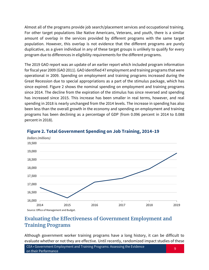Almost all of the programs provide job search/placement services and occupational training. For other target populations like Native Americans, Veterans, and youth, there is a similar amount of overlap in the services provided by different programs with the same target population. However, this overlap is not evidence that the different programs are purely duplicative, as a given individual in any of these target groups is unlikely to qualify for every program due to differences in eligibility requirements for the different programs.

The 2019 GAO report was an update of an earlier report which included program information for fiscal year 2009 (GAO 2011). GAO identified 47 employment and training programs that were operational in 2009. Spending on employment and training programs increased during the Great Recession due to special appropriations as a part of the stimulus package, which has since expired. Figure 2 shows the nominal spending on employment and training programs since 2014. The decline from the expiration of the stimulus has since reversed and spending has increased since 2015. This increase has been smaller in real terms, however, and real spending in 2018 is nearly unchanged from the 2014 levels. The increase in spending has also been less than the overall growth in the economy and spending on employment and training programs has been declining as a percentage of GDP (from 0.096 percent in 2014 to 0.088 percent in 2018).



#### **Figure 2. Total Government Spending on Job Training, 2014–19**

## **Evaluating the Effectiveness of Government Employment and Training Programs**

Although government worker training programs have a long history, it can be difficult to evaluate whether or not they are effective. Until recently, randomized impact studies of these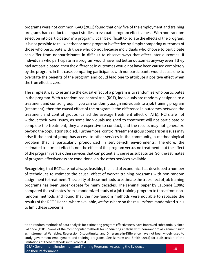programs were not common. GAO (2011) found that only five of the employment and training programs had conducted impact studies to evaluate program effectiveness. With non-random selection into participation in a program, it can be difficult to isolate the effects of the program. It is not possible to tell whether or not a program is effective by simply comparing outcomes of those who participate with those who do not because individuals who choose to participate can differ from nonparticipants in difficult to observe ways that affect later outcomes. If individuals who participate in a program would have had better outcomes anyway even if they had not participated, then the difference in outcomes would not have been caused completely by the program. In this case, comparing participants with nonparticipants would cause one to overstate the benefits of the program and could lead one to attribute a positive effect when the true effect is zero.

The simplest way to estimate the causal effect of a program is to randomize who participates in the program. With a randomized control trial (RCT), individuals are randomly assigned to a treatment and control group. If you can randomly assign individuals to a job training program (treatment), then the causal effect of the program is the difference in outcomes between the treatment and control groups (called the average treatment effect or ATE). RCTs are not without their own issues, as some individuals assigned to treatment will not participate or complete the treatment, they are expensive to conduct, and the results may not generalize beyond the population studied. Furthermore, control/treatment group comparison issues may arise if the control group has access to other services in the community, a methodological problem that is particularly pronounced in service-rich environments. Therefore, the estimated treatment effect is not the effect of the program versus no treatment, but the effect of the program versus other services that can potentially serve as substitutes. So, the estimates of program effectiveness are conditional on the other services available.

Recognizing that RCTs are not always feasible, the field of economics has developed a number of techniques to estimate the causal effect of worker training programs with non-random assignment to treatment. The ability of these methods to estimate the true effect of job training programs has been under debate for many decades. The seminal paper by LaLonde (1986) compared the estimates from a randomized study of a job training program to those from nonrandom methods and found that the non-random methods were not able to replicate the results of the RCT.<sup>3</sup> Hence, where available, we focus here on the results from randomized trials to limit these concerns.

 $\overline{\phantom{a}}$ 

<sup>&</sup>lt;sup>3</sup> Non-random methods of data analysis for estimating program effectiveness have improved substantially since LaLonde (1986). Some of the most popular methods for conducting analysis with non-random assignment such as Instrumental Variables, Regression Discontinuity, and Difference-in-Difference have not been widely used to study government employment and training programs. See Barnow and Smith (2015) for a discussion of the limitations of these methods in this context.

CEA • Government Employment and Training Programs: Assessing the Evidence on their Performance <sup>10</sup>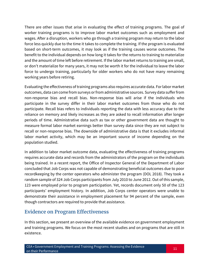There are other issues that arise in evaluating the effect of training programs. The goal of worker training programs is to improve labor market outcomes such as employment and wages. After a disruption, workers who go through a training program may return to the labor force less quickly due to the time it takes to complete the training. If the program is evaluated based on short-term outcomes, it may look as if the training causes worse outcomes. The benefit to the individual depends on how long it takes for the returns to training to materialize and the amount of time left before retirement. If the labor market returns to training are small, or don't materialize for many years, it may not be worth it for the individual to leave the labor force to undergo training, particularly for older workers who do not have many remaining working years before retiring.

Evaluating the effectiveness of training programs also requires accurate data. For labor market outcomes, data can come from surveys or from administrative sources. Survey data suffer from non-response bias and recall bias. Non-response bias will arise if the individuals who participate in the survey differ in their labor market outcomes from those who do not participate. Recall bias refers to individuals reporting the data with less accuracy due to the reliance on memory and likely increases as they are asked to recall information after longer periods of time. Administrative data such as tax or other government data are thought to measure formal labor market earnings better than survey data since they are not subject to recall or non-response bias. The downside of administrative data is that it excludes informal labor market activity, which may be an important source of income depending on the population studied.

In addition to labor market outcome data, evaluating the effectiveness of training programs requires accurate data and records from the administrators of the program on the individuals being trained. In a recent report, the Office of Inspector General of the Department of Labor concluded that Job Corps was not capable of demonstrating beneficial outcomes due to poor recordkeeping by the center operators who administer the program (DOL 2018). They took a random sample of 324 Job Corps participants from July 2010 to June 2012. Out of this sample, 123 were employed prior to program participation. Yet, records document only 50 of the 123 participants' employment history. In addition, Job Corps center operators were unable to demonstrate their assistance in employment placement for 94 percent of the sample, even though contractors are required to provide that assistance.

## **Evidence on Program Effectiveness**

In this section, we present an overview of the available evidence on government employment and training programs. We focus on the most recent studies and on programs that are still in existence.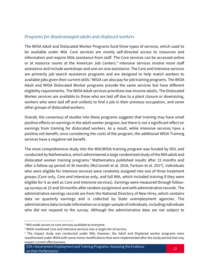#### *Programs for disadvantaged adults and displaced workers*

The WIOA Adult and Dislocated Worker Programs fund three types of services, which used to be available under WIA. Core services are mostly self-directed access to resources and information and require little assistance from staff. The Core services can be accessed online or at resource rooms at the American Job Centers.<sup>4</sup> Intensive services involve more staff assistance and include workshops and one-on-one assistance. The Core and Intensive services are primarily job search assistance programs and are designed to help match workers to available jobs given their current skills.<sup>5</sup> WIOA can also pay for job training programs. The WIOA Adult and WIOA Dislocated Worker programs provide the same services but have different eligibility requirements. The WIOA Adult services prioritizes low-income adults. The Dislocated Worker services are available to those who are laid off due to a plant closure or downsizing, workers who were laid off and unlikely to find a job in their previous occupation, and some other groups of dislocated workers.

Overall, the consensus of studies into these programs suggests that training may have small positive effects on earnings in the adult worker program, but there is not a significant effect on earnings from training for dislocated workers. As a result, while intensive services have a positive net benefit, once considering the costs of the program, the additional WIOA Training services have a negative net benefit.

The most comprehensive study into the WIA/WIOA training program was funded by DOL and conducted by Mathematica, which administered a large randomized study of the WIA adult and dislocated worker training programs. <sup>6</sup> Mathematica published results after 15 months and after a follow-up period of 30 months (McConnell et al. 2016, Fortson et al. 2017). Individuals who were eligible for intensive services were randomly assigned into one of three treatment groups (Core only, Core and Intensive only, and full WIA, which included training if they were eligible for it as well as Core and Intensive services). Earnings were measured through followup surveys at 15 and 30 months after random assignment and with administrative records. The administrative earnings records are from the National Directory of New Hires, which contains data on quarterly earnings and is collected by State unemployment agencies. The administrative data include information on a larger sample of individuals, including individuals who did not respond to the survey. Although the administrative data are not subject to

 $\overline{\phantom{a}}$ 

<sup>4</sup> WIA made access to core services available to everyone.

<sup>&</sup>lt;sup>5</sup> WIOA combined Core and Intensive services into a single tier of service.

<sup>&</sup>lt;sup>6</sup> The impact study was conducted under WIA, however, the Adult and Displaced worker programs were reauthorized under WIOA with some minor modifications that were implemented after the study period that may impact current effectiveness.

CEA • Government Employment and Training Programs: Assessing the Evidence on their Performance <sup>12</sup>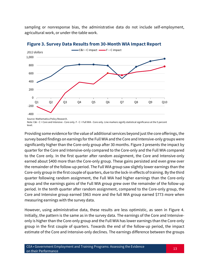sampling or nonresponse bias, the administrative data do not include self-employment, agricultural work, or under-the-table work.



**Figure 3. Survey Data Results from 30-Month WIA Impact Report**

Source: Mathematica Policy Research.

Note: C&I - C = Core and Intensive - Core only. F - C = Full WIA - Core only. Line markers signify statistical significance at the 5 percent level.

Providing some evidence for the value of additional services beyond just the core offerings, the survey based findings on earnings forthe Full WIA and the Core and Intensive-only groups were significantly higher than the Core-only group after 30 months. Figure 3 presents the impact by quarter for the Core and Intensive-only compared to the Core-only and the Full WIA compared to the Core only. In the first quarter after random assignment, the Core and Intensive-only earned about \$400 more than the Core-only group. These gains persisted and even grew over the remainder of the follow-up period. The Full WIA group saw slightly lower earnings than the Core-only group in the first couple of quarters, due to the lock-in effects of training. By the third quarter following random assignment, the Full WIA had higher earnings than the Core-only group and the earnings gains of the Full WIA group grew over the remainder of the follow-up period. In the tenth quarter after random assignment, compared to the Core-only group, the Core and Intensive group earned \$963 more and the full WIA group earned \$773 more when measuring earnings with the survey data.

However, using administrative data, these results are less optimistic, as seen in Figure 4. Initially, the pattern is the same as in the survey data. The earnings of the Core and Intensiveonly is higher than the Core-only group and the Full WIA has lower earnings than the Core-only group in the first couple of quarters. Towards the end of the follow-up period, the impact estimate of the Core and Intensive-only declines. The earnings difference between the groups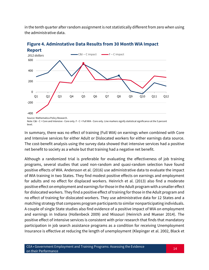in the tenth quarter after random assignment is not statistically different from zero when using the administrative data.



# **Figure 4. Adminstative Data Results from 30 Month WIA Impact**

Note: C&I - C = Core and Intensive - Core only. F - C = Full WIA - Core only. Line markers signify statistical significance at the 5 percent level.

In summary, there was no effect of training (Full WIA) on earnings when combined with Core and Intensive services for either Adult or Dislocated workers for either earnings data source. The cost-benefit analysis using the survey data showed that intensive services had a positive net benefit to society as a whole but that training had a negative net benefit.

Although a randomized trial is preferable for evaluating the effectiveness of job training programs, several studies that used non-random and quasi-random selection have found positive effects of WIA. Andersson et al. (2016) use administrative data to evaluate the impact of WIA training in two States. They find modest positive effects on earnings and employment for adults and no effect for displaced workers. Heinrich et al. (2013) also find a moderate positive effect on employment and earnings for those in the Adult program with a smaller effect for dislocated workers. They find a positive effect of training for those in the Adult program and no effect of training for dislocated workers. They use administrative data for 12 States and a matching strategy that compares program participants to similar nonparticipating individuals. A couple of single State studies also find evidence of a positive impact of WIA on employment and earnings in Indiana (Hollenbeck 2009) and Missouri (Heinrich and Mueser 2014). The positive effect of intensive services is consistent with prior research that finds that mandatory participation in job search assistance programs as a condition for receiving Unemployment Insurance is effective at reducing the length of unemployment (Klepinger et al. 2002, Black et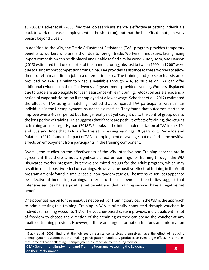al. 2003).<sup>7</sup>Decker et al. (2000) find that job search assistance is effective at getting individuals back to work (increases employment in the short run), but that the benefits do not generally persist beyond 1 year.

In addition to the WIA, the Trade Adjustment Assistance (TAA) program provides temporary benefits to workers who are laid off due to foreign trade. Workers in industries facing rising import competition can be displaced and unable to find similar work. Autor, Dorn, and Hanson (2013) estimated that one quarter of the manufacturing jobs lost between 1990 and 2007 were due to rising import competition from China. TAA provides assistance to these workers to allow them to retrain and find a job in a different industry. The training and job search assistance provided by TAA is similar to what is available through WIA, so studies on TAA can offer additional evidence on the effectiveness of government-provided training. Workers displaced due to trade are also eligible for cash assistance while in training, relocation assistance, and a period of wage subsidization if reemployed at a lower wage. Schochet et al. (2012) estimated the effect of TAA using a matching method that compared TAA participants with similar individuals in the Unemployment Insurance claims files. They found that outcomes started to improve over a 4-year period but had generally not yet caught up to the control group due to the long period of training. This suggests that if there are positive effects of training, the returns to training are not large. Hyman (2018 WP) looks at the initial implementation of TAA in the '70s and '80s and finds that TAA is effective at increasing earnings 10 years out. Reynolds and Palatucci (2012) found no impact of TAA on employment on average, but did find some positive effects on employment from participants in the training component.

Overall, the studies on the effectiveness of the WIA Intensive and Training services are in agreement that there is not a significant effect on earnings for training through the WIA Dislocated Worker program, but there are mixed results for the Adult program, which may result in a small positive effect on earnings. However, the positive effects of training in the Adult program are only found in smaller scale, non-random studies. The Intensive services appear to be effective at increasing earnings. In terms of the net benefits, the studies suggest that Intensive services have a positive net benefit and that Training services have a negative net benefit.

One potential reason for the negative net benefit of Training services in the WIA is the approach to administering this training. Training in WIA is primarily conducted through vouchers in Individual Training Accounts (ITA). The voucher-based system provides individuals with a lot of freedom to choose the direction of their training as they can spend the voucher at any qualified training provider. However, if there are large information frictions and information

 $\overline{\phantom{a}}$ 

 $7$  Black et al (2003) find that the job search assistance services themselves have the effect of reducing unemployment duration but that making participation mandatory produces an even larger effect. This implies that some of those collecting Unemployment Insurance delay returning to work.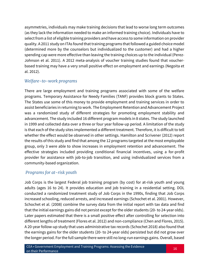asymmetries, individuals may make training decisions that lead to worse long term outcomes (as they lack the information needed to make an informed training choice). Individuals have to select from a list of eligible training providers and have access to some information on provider quality. A 2011 study on ITAs found that training programs that followed a guided choice model (determined more by the counselors but individualized to the customer) and had a higher spending cap were more effective than leaving the training choices up to the individual (Perez-Johnson et al. 2011). A 2012 meta-analysis of voucher training studies found that voucherbased training may have a very small positive effect on employment and earnings (Negoita et al. 2012).

#### *Welfare-to-work programs*

There are large employment and training programs associated with some of the welfare programs. Temporary Assistance for Needy Families (TANF) provides block grants to States. The States use some of this money to provide employment and training services in order to assist beneficiaries in returning to work. The Employment Retention and Advancement Project was a randomized study of different strategies for promoting employment stability and advancement. The study included 16 different program models in 8 states. The study launched in 1999 and collected data over a three or four year follow-up period. A limitation of the study is that each of the study sites implemented a different treatment. Therefore, it is difficult to tell whether the effect would be observed in other settings. Hamilton and Scrivener (2012) report the results of this study and find that among the 12 programs targeted at the most employable group, only 3 were able to show increases in employment retention and advancement. The effective strategies included providing conditional financial incentives, using a for-profit provider for assistance with job-to-job transition, and using individualized services from a community-based organization.

#### *Programs for at-risk youth*

Job Corps is the largest Federal job training program (by cost) for at-risk youth and young adults (ages 16 to 24). It provides education and job training in a residential setting. DOL conducted a randomized treatment study of Job Corps in the 1990s, finding that Job Corps increased schooling, reduced arrests, and increased earnings (Schochet et al. 2001). However, Schochet et al. (2008) combine the survey data from the initial report with tax data and find that the initial earnings gains did not persist except for the older students (20- to 24-year olds). Later papers estimated that there is a small positive effect after controlling for selection into different lengths of treatment (Flores et al. 2012) and non-compliance (Chen and Flores, 2015). A 20-year follow-up study that uses administrative tax records (Schochet 2018) also found that the earnings gains for the older students (20- to 24-year olds) persisted but did not grow over the longer period. For the full sample there werestill no long-run earnings gains. Overall, based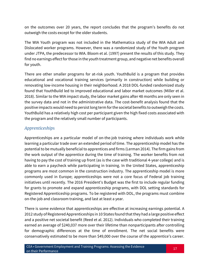on the outcomes over 20 years, the report concludes that the program's benefits do not outweigh the costs except for the older students.

The WIA Youth program was not included in the Mathematica study of the WIA Adult and Dislocated worker programs. However, there was a randomized study of the Youth program under JTPA, the predecessor to WIA. Bloom et al. (1997) present the results of this study. They find no earnings effect for those in the youth treatment group, and negative net benefits overall for youth.

There are other smaller programs for at-risk youth. YouthBuild is a program that provides educational and vocational training services (primarily in construction) while building or renovating low-income housing in their neighborhood. A 2018 DOL-funded randomized study found that YouthBuild led to improved educational and labor market outcomes (Miller et al. 2018). Similar to the WIA impact study, the labor market gains after 48 months are only seen in the survey data and not in the administrative data. The cost-benefit analysis found that the positive impacts would need to persist long term for the societal benefits to outweigh the costs. YouthBuild has a relatively high cost per participant given the high fixed costs associated with the program and the relatively small number of participants.

#### *Apprenticeships*

Apprenticeships are a particular model of on-the-job training where individuals work while learning a particular trade over an extended period of time. The apprenticeship model has the potential to be mutually beneficial to apprentices and firms (Lerman 2014). The firm gains from the work output of the apprentice during the time of training. The worker benefits from not having to pay the cost of training up front (as is the case with traditional 4-year college) and is able to earn a paycheck while participating in training. In the United States, apprenticeship programs are most common in the construction industry. The apprenticeship model is more commonly used in Europe; apprenticeships were not a core focus of Federal job training initiatives until recently. The 2016 President's Budget was the first to include regular funding for grants to promote and expand apprenticeship programs, with DOL setting standards for Registered Apprenticeship programs. To be registered with DOL, the programs must combine on-the-job and classroom training, and last at least a year.

There is some evidence that apprenticeships are effective at increasing earnings potential. A 2012 study of Registered Apprenticeships in 10 States found that they had a large positive effect and a positive net societal benefit (Reed et al. 2012). Individuals who completed their training earned an average of \$240,037 more over their lifetime than nonparticipants after controlling for demographic differences at the time of enrollment. The net social benefits were conservatively estimated to be more than \$49,000 over the course of the apprentice's career.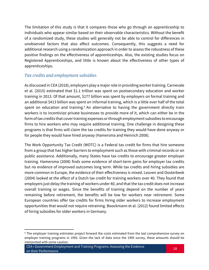The limitation of this study is that it compares those who go through an apprenticeship to individuals who appear similar based on their observable characteristics. Without the benefit of a randomized study, these studies will generally not be able to control for differences in unobserved factors that also affect outcomes. Consequently, this suggests a need for additional research using a randomization approach in order to assess the robustness of these positive findings on the effectiveness of apprenticeships. Also, the existing studies focus on Registered Apprenticeships, and little is known about the effectiveness of other types of apprenticeships.

#### *Tax credits and employment subsidies*

As discussed in CEA (2018), employers play a major role in providing worker training. Carnevale et al. (2015) estimated that \$1.1 trillion was spent on postsecondary education and worker training in 2013. Of that amount, \$177 billion was spent by employers on formal training and an additional \$413 billion was spent on informal training, which is a little over half of the total spent on education and training.<sup>8</sup> An alternative to having the government directly train workers is to incentivize private businesses to provide more of it, which can either be in the form of tax credits that cover training expenses or through employment subsidies to encourage firms to hire workers who may require additional training. One challenge in designing these programs is that firms will claim the tax credits for training they would have done anyway or for people they would have hired anyway (Hamersma and Heinrich 2008).

The Work Opportunity Tax Credit (WOTC) is a Federal tax credit for firms that hire someone from a group that has higher barriers to employment such as those with criminal records or on public assistance. Additionally, many States have tax credits to encourage greater employer training. Hamersma (2008) finds some evidence of short-term gains for employer tax credits but no evidence of improved outcomes long term. While tax credits and hiring subsidies are more common in Europe, the evidence of their effectiveness is mixed. Leuven and Oosterbeek (2004) looked at the effect of a Dutch tax credit for training workers over 40. They found that employers just delay the training of workers under 40, and that the tax credit does not increase overall training or wages. Since the benefits of training depend on the number of years remaining before retirement, the benefits will be low for workers near retirement. Some European countries offer tax credits for firms hiring older workers to increase employment opportunities that would not require retraining. Boockmann et al. (2012) found limited effects of hiring subsidies for older workers in Germany.

 $\overline{\phantom{a}}$ 

<sup>&</sup>lt;sup>8</sup> The employer training estimates project forward the costs estimated from the last comprehensive survey on employer training programs in 1995. Given the lack of data since the 1995 survey, these amounts should be interpreted with some caution.

CEA • Government Employment and Training Programs: Assessing the Evidence on their Performance <sup>18</sup>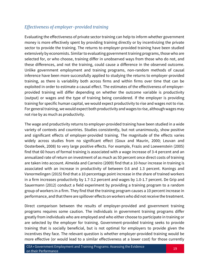#### *Effectiveness of employer-provided training*

Evaluating the effectiveness of private sector training can help to inform whether government money is more effectively spent by providing training directly or by incentivizing the private sector to provide the training. The returns to employer-provided training have been studied extensively by economists. Similar to evaluating government training programs, those who are selected for, or who choose, training differ in unobserved ways from those who do not, and these differences, and not the training, could cause a difference in the observed outcome. Unlike government employment and training programs, non-random methods of causal inference have been more successfully applied to studying the returns to employer-provided training, as there is variability both across firms and within firms over time that can be exploited in order to estimate a causal effect. The estimates of the effectiveness of employerprovided training will differ depending on whether the outcome variable is productivity (output) or wages and the type of training being considered. If the employer is providing training for specific human capital, we would expect productivity to rise and wages not to rise. For general training, we would expect both productivity and wages to rise, although wages may not rise by as much as productivity.

The wage and productivity returns to employer-provided training have been studied in a wide variety of contexts and countries. Studies consistently, but not unanimously, show positive and significant effects of employer-provided training. The magnitude of the effects varies widely across studies from no significant effect (Goux and Maurin, 2000; Leuvan and Oosterbeek, 2008) to very large positive effects. For example, Frazis and Loewenstein (2005) find that 60 hours of formal training is associated with a wage increase of 3-4 percent and an annualized rate of return on investment of as much as 50 percent once direct costs of training are taken into account. Almeida and Carneiro (2009) find that a 10-hour increase in training is associated with an increase in productivity of between 0.6 and 1.3 percent. Konings and Vanormelingen (2015) find that a 10 percentage point increase in the share of trained workers in a firm increases productivity by 1.7-3.2 percent and wages by 1.0-1.7 percent. De Grip and Sauermann (2012) conduct a field experiment by providing a training program to a random group of workers in a firm. They find that the training program causes a 10 percent increase in performance, and that there are spillover effects on workers who did not receive the treatment.

Direct comparison between the results of employer-provided and government training programs requires some caution. The individuals in government training programs differ greatly from individuals who are employed and who either choose to participate in training or are selected by the employer for training. Government-provided training seeks to provide training that is socially beneficial, but is not optimal for employers to provide given the incentives they face. The relevant question is whether employer-provided training would be more effective (or would lead to a similar effectiveness at a lower cost) for those currently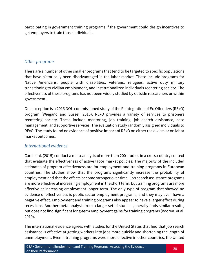participating in government training programs if the government could design incentives to get employers to train those individuals.

#### *Other programs*

There are a number of other smaller programs that tend to be targeted to specific populations that have historically been disadvantaged in the labor market. These include programs for Native Americans, people with disabilities, veterans, refugees, active duty military transitioning to civilian employment, and institutionalized individuals reentering society. The effectiveness of these programs has not been widely studied by outside researchers or within government.

One exception is a 2016 DOL-commissioned study of the Reintegration of Ex-Offenders (RExO) program (Wiegand and Sussell 2016). RExO provides a variety of services to prisoners reentering society. These include mentoring, job training, job search assistance, case management, and supportive services. The evaluation study randomly assigned individuals to RExO. The study found no evidence of positive impact of RExO on either recidivism or on labor market outcomes.

#### *International evidence*

Card et al. (2015) conduct a meta-analysis of more than 200 studies in a cross-country context that evaluate the effectiveness of active labor market policies. The majority of the included estimates of program effectiveness are for employment and training programs in European countries. The studies show that the programs significantly increase the probability of employment and that the effects become stronger over time. Job search assistance programs are more effective at increasing employment in the short term, but training programs are more effective at increasing employment longer term. The only type of program that showed no evidence of effectiveness is public sector employment programs, and they may even have a negative effect. Employment and training programs also appear to have a larger effect during recessions. Another meta-analysis from a larger set of studies generally finds similar results, but does not find significant long-term employment gains for training programs (Vooren, et al. 2019).

The international evidence agrees with studies for the United States that find that job search assistance is effective at getting workers into jobs more quickly and shortening the length of unemployment. Even if training programs were more effective in other countries, the United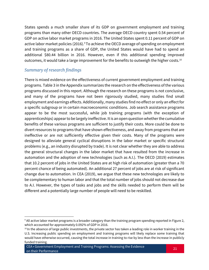States spends a much smaller share of its GDP on government employment and training programs than many other OECD countries. The average OECD country spent 0.54 percent of GDP on active labor market programs in 2016. The United States spent 0.11 percent of GDP on active labor market policies (2016). <sup>9</sup>To achieve the OECD average of spending on employment and training programs as a share of GDP, the United States would have had to spend an additional \$80.44 billion in 2016. However, even if this additional spending improved outcomes, it would take a large improvement for the benefits to outweigh the higher costs.<sup>10</sup>

#### *Summary of research findings*

l

There is mixed evidence on the effectiveness of current government employment and training programs. Table 3 in the Appendix summarizes the research on the effectiveness of the various programs discussed in this report. Although the research on these programs is not conclusive, and many of the programs have not been rigorously studied, many studies find small employment and earnings effects. Additionally, many studies find no effect or only an effect for a specific subgroup or in certain macroeconomic conditions. Job search assistance programs appear to be the most successful, while job training programs (with the exception of apprenticeships) appear to be largely ineffective. It is an open question whether the cumulative benefits of these various programs are sufficient to justify their costs. More could be done to divert resources to programs that have shown effectiveness, and away from programs that are ineffective or are not sufficiently effective given their costs. Many of the programs were designed to alleviate general cyclical disruptions in the labor market or specific structural problems (e.g., an industry disrupted by trade). It is not clear whether they are able to address the general structural changes in the labor market that have resulted from the increase in automation and the adoption of new technologies (such as A.I.). The OECD (2019) estimates that 10.2 percent of jobs in the United States are at high risk of automation (greater than a 70 percent chance of being automated). An additional 27 percent of jobs are at risk of significant change due to automation. In CEA (2019), we argue that these new technologies are likely to be complementary to human labor and that the total number of jobs should not decrease due to A.I. However, the types of tasks and jobs and the skills needed to perform them will be different and a potentially large number of people will need to be reskilled.

<sup>9</sup> All active labor market programs is a broader category than the training program spending reported in Figure 2, which accounted for approximately 0.092% of GDP in 2016.

 $10$  In the absence of large public investments, the private sector has taken a leading role in worker training in the U.S. Increasing public spending on employment and training programs will likely replace some training that would have otherwise occurred, causing the total increase in training to rise by less than the increase in publicly funded training.

CEA • Government Employment and Training Programs: Assessing the Evidence on their Performance <sup>21</sup>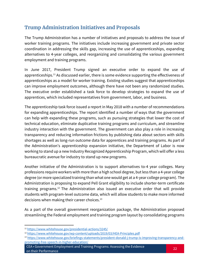## **Trump Administration Initiatives and Proposals**

The Trump Administration has a number of initiatives and proposals to address the issue of worker training programs. The initiatives include increasing government and private sector coordination in addressing the skills gap, increasing the use of apprenticeships, expanding alternatives to 4-year colleges, and reorganizing and consolidating the various government employment and training programs.

In June 2017, President Trump signed an executive order to expand the use of apprenticeships.<sup>11</sup> As discussed earlier, there is some evidence supporting the effectiveness of apprenticeships as a model for worker training. Existing studies suggest that apprenticeships can improve employment outcomes, although there have not been any randomized studies. The executive order established a task force to develop strategies to expand the use of apprentices, which included representatives from government, labor, and business.

The apprenticeship task force issued a report in May 2018 with a number of recommendations for expanding apprenticeships. The report identified a number of ways that the government can help with expanding these programs, such as pursuing strategies that lower the cost of technical education, eliminate duplicative training programs and curriculum, and streamline industry interaction with the government. The government can also play a role in increasing transparency and reducing information frictions by publishing data about sectors with skills shortages as well as long-run outcome data for apprentices and training programs. As part of the Administration's apprenticeship expansion initiative, the Department of Labor is now working to stand up a new Industry Recognized Apprenticeship Program, which will offer a less bureaucratic avenue for industry to stand up new programs.

Another initiative of the Administration is to support alternatives to-4 year colleges. Many professions require workers with more than a high school degree, but less than a 4-year college degree (or more specialized training than what one would get at a 4-year college program). The Administration is proposing to expand Pell Grant eligibility to include shorter-term certificate training programs.<sup>12</sup> The Administration also issued an executive order that will provide students with program-level outcome data, which will allow students to make more informed decisions when making their career choices.<sup>13</sup>

As a part of the overall government reorganization package, the Administration proposed streamlining the Federal employment and training program layout by consolidating programs

l

CEA • Government Employment and Training Programs: Assessing the Evidence on their Performance <sup>22</sup>

<sup>11</sup> <https://www.whitehouse.gov/presidential-actions/3245/>

<sup>12</sup> <https://www.whitehouse.gov/wp-content/uploads/2019/03/HEA-Principles.pdf>

<sup>13</sup> [https://www.whitehouse.gov/briefings-statements/president-donald-j-trump-is-improving-transparency-and](https://www.whitehouse.gov/briefings-statements/president-donald-j-trump-is-improving-transparency-and-promoting-free-speech-in-higher-education/)[promoting-free-speech-in-higher-education/](https://www.whitehouse.gov/briefings-statements/president-donald-j-trump-is-improving-transparency-and-promoting-free-speech-in-higher-education/)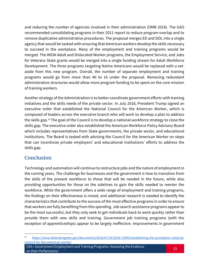and reducing the number of agencies involved in their administration (OMB 2018). The GAO recommended consolidating programs in their 2011 report to reduce program overlap and to remove duplicative administrative procedures. The proposal merges ED and DOL into a single agency that would be tasked with ensuring that American workers develop the skills necessary to succeed in the workplace. Many of the employment and training programs would be merged. The WIOA Adult and Dislocated Worker programs, the Employment Service, and Jobs for Veterans State grants would be merged into a single funding stream for Adult Workforce Development. The three programs targeting Native Americans would be replaced with a setaside from this new program. Overall, the number of separate employment and training programs would go from more than 40 to 16 under the proposal. Removing redundant administrative structures would allow more program funding to be spent on the core mission of training workers.

Another strategy of the Administration is to better coordinate government efforts with training initiatives and the skills needs of the private sector. In July 2018, President Trump signed an executive order that established the National Council for the American Worker, which is composed of leaders across the executive branch who will work to develop a plan to address the skills gap.<sup>14</sup> The goal of the Council is to develop a national workforce strategy to close the skills gap. The executive order also established the American Workforce Policy Advisory Board which includes representatives from State governments, the private sector, and educational institutions. The Board is tasked with advising the Council for the American Worker on steps that can incentivize private employers' and educational institutions' efforts to address the skills gap.

## **Conclusion**

 $\overline{\phantom{a}}$ 

Technology and automation will continue to restructure jobs and the nature of employment in the coming years. The challenge for businesses and the government is how to transition from the skills of the present workforce to those that will be needed in the future, while also providing opportunities for those on the sidelines to gain the skills needed to reenter the workforce. While the government offers a wide range of employment and training programs, the findings on their effectiveness is mixed, and additional research is needed to identify the characteristics that contribute to the success of the most effective programs in order to ensure that workers are fully benefiting from this spending. Job search assistance programs appear to be the most successful, but they only seek to get individuals back to work quickly rather than provide them with new skills and training. Government job training programs (with the exception of apprenticeships) appear to be largely ineffective. Improvements in government

[https://www.federalregister.gov/documents/2018/07/24/2018-15955/establishing-the-presidents-national](https://www.federalregister.gov/documents/2018/07/24/2018-15955/establishing-the-presidents-national-council-for-the-american-worker)[council-for-the-american-worker](https://www.federalregister.gov/documents/2018/07/24/2018-15955/establishing-the-presidents-national-council-for-the-american-worker)

CEA • Government Employment and Training Programs: Assessing the Evidence on their Performance <sup>23</sup>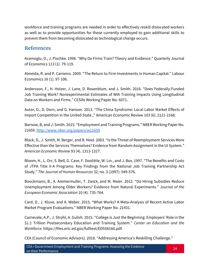workforce and training programs are needed in order to effectively reskill dislocated workers as well as to provide opportunities for those currently employed to gain additional skills to prevent them from becoming dislocated as technological change occurs.

## **References**

Acemoglu, D., J. Pischke. 1998. "Why Do Firms Train? Theory and Evidence." Quarterly Journal of Economics 113 (1). 79-119.

Almeida, R. and P. Carneiro. 2009. "The Return to Firm Investments in Human Capital." Labour Economics 16 (1). 97-106.

Andersson, F., H. Holzer, J. Lane, D. Rosenblum, and J. Smith. 2016. "Does Federally-Funded Job Training Work? Nonexperimental Estimates of WIA Training Impacts Using Longitudinal Data on Workers and Firms." CESifo Working Paper No. 6071.

Autor, D., D. Dorn, and G. Hanson. 2013. "The China Syndrome: Local Labor Market Effects of Import Competition in the United State.," American Economic Review 103 (6). 2121-2168.

Barnow, B, and J. Smith. 2015. "Employment and Training Programs."NBER Working Paper No. 21659.<http://www.nber.org/papers/w21659>

Black, D., J. Smith, M. Berger, and B. Noel. 2003. "Is the Threat of Reemployment Services More Effective than the Services Themselves? Evidence from Random Assignment in the UI System." *American Economic Review* 93 (4). 1313-1327.

Bloom, H., L. Orr, S. Bell, G. Cave, F. Doolittle, W. Lin., and J. Bos. 1997. "The Benefits and Costs of JTPA Title II-A Programs: Key Findings from the National Job Training Partnership Act Study." *The Journal of Human Resources* 32, no. 3 (1997): 549-576.

Boockmann, B., A. Ammermuller, T. Zwick, and M. Maier. 2012. "Do Hiring Subsidies Reduce Unemployment Among Older Workers? Evidence from Natural Experiments." *Journal of the European Economic Association* 10 (4)*.* 735-764.

Card, D., J. Kluve, and A. Weber. 2015. "What Works? A Meta-Analysis of Recent Active Labor Market Program Evaluations." NBER Working Paper No. 21431.

Carnevale, A.P., J. Strohl, A. Gulish. 2015. "College is Just the Beginning: Employers' Role in the \$1.1 Trillion Postsecondary Education and Training System." *Center on Education and the Workforce.* https://files.eric.ed.gov/fulltext/ED558166.pdf.

CEA (Council of Economic Advisors). 2018. "Addressing America's Reskilling Challenge."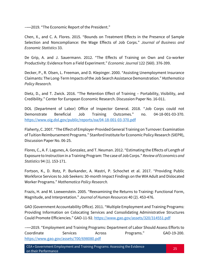–––2019. "The Economic Report of the President."

Chen, X., and C. A. Flores. 2015. "Bounds on Treatment Effects in the Presence of Sample Selection and Noncompliance: the Wage Effects of Job Corps." *Journal of Business and Economic Statistics* 33.

De Grip, A. and J. Sauermann. 2012. "The Effects of Training on Own and Co-worker Productivity: Evidence from a Field Experiment." *Economic Journal* 122 (560). 376-399.

Decker, P., R. Olsen, L. Freeman, and D. Klepinger. 2000. "Assisting Unemployment Insurance Claimants: The Long-Term Impacts of the Job Search Assistance Demonstration." *Mathematica Policy Research.*

Dietz, D., and T. Zwick. 2016. "The Retention Effect of Training – Portability, Visibility, and Credibility." Center for European Economic Research. Discussion Paper No. 16-011.

DOL (Department of Labor) Office of Inspector General. 2018. "Job Corps could not Demonstrate Beneficial Job Training Outcomes." no. 04-18-001-03-370. <https://www.oig.dol.gov/public/reports/oa/04-18-001-03-370.pdf>

Flaherty, C. 2007. "The Effect of Employer-Provided General Training on Turnover: Examination of Tuition Reimbursement Programs." Stanford Institute for Economic Policy Research (SIEPR), Discussion Paper No. 06-25.

Flores, C., A. F. Lagunes, A. Gonzalez, and T. Neuman. 2012. "Estimating the Effects of Length of Exposure to Instruction in a Training Program: The case of Job Corps." *Review of Economics and Statistics* 94 (1). 153-171.

Fortson, K., D. Rotz, P. Burkander, A. Mastri, P. Schochet et al. 2017. "Providing Public Workforce Services to Job Seekers: 30-month Impact Findings on the WIA Adult and Dislocated Worker Programs." *Mathematica Policy Research.*

Frazis, H. and M. Loewenstein. 2005. "Reexamining the Returns to Training: Functional Form, Magnitude, and Interpretation." *Journal of Human Resources* 40 (2). 453-476.

GAO (Government Accountability Office). 2011. "Multiple Employment and Training Programs: Providing Information on Colocating Services and Consolidating Administrative Structures Could Promote Efficiencies." GAO-11-92. <https://www.gao.gov/assets/320/314551.pdf>

–––2019. "Employment and Training Programs: Department of Labor Should Assess Efforts to Coordinate Services Across Programs." GAO-19-200. <https://www.gao.gov/assets/700/698080.pdf>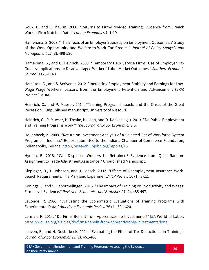Goux, D. and E. Maurin. 2000. "Returns to Firm-Provided Training: Evidence from French Worker-Firm Matched Data." *Labour Economics* 7. 1-19.

Hamersma, S. 2008. "The Effects of an Employer Subsisdy on Employment Outcomes: A Study of the Work Opportunity and Welfare-to-Work Tax Credits." *Journal of Policy Analysis and Management* 27 (3). 498-520.

Hamersma, S., and C. Heinrich. 2008. "Temporary Help Service Firms' Use of Employer Tax Credits: Implications for Disadvantaged Workers' Labor Market Outcomes." *Southern Economic Journal* 1123-1148.

Hamilton, G., and S. Scrivener. 2012. "Increasing Employment Stability and Earnings for Low-Wage Wage Workers: Lessons from the Employment Retention and Advancement (ERA) Project." MDRC.

Heinrich, C., and P. Mueser. 2014. "Training Program Impacts and the Onset of the Great Recession." Unpublished manuscript, University of Missouri.

Heinrich, C., P. Mueser, K. Troske, K. Jeon, and D. Kahvecioglu. 2013. "Do Public Employment and Training Programs Work?" *IZA Journal of Labor Economics* 2:6.

Hollenbeck, K. 2009. "Return on Investment Analysis of a Selected Set of Workforce System Programs in Indiana." Report submitted to the Indiana Chamber of Commerce Foundation, Indianapolis, Indiana. [http://research.upjohn.org/reports/15.](http://research.upjohn.org/reports/15)

Hyman, B. 2018. "Can Displaced Workers be Retrained? Evidence from Quasi-Random Assignment to Trade Adjustment Assistance." Unpublished Manuscript.

Klepinger, D., T. Johnson, and J. Joesch. 2002. "Effects of Unemployment Insurance Work-Search Requirements: The Maryland Experiment." *ILR Review* 56 (1). 3-22.

Konings, J. and S. Vanormelingen. 2015. "The Impact of Training on Productivity and Wages: Firm-Level Evidence." *Review of Economics and Statistics* 97 (2). 485-497.

LaLonde, R. 1986. "Evaluating the Econometric Evaluations of Training Programs with Experimental Data." *American Economic Review* 76 (4). 604-620.

Lerman, R. 2014. "Do Firms Benefit from Apprenticeship Investments?" IZA World of Labor. [https://wol.iza.org/articles/do-firms-benefit-from-apprenticeship-investments/long.](https://wol.iza.org/articles/do-firms-benefit-from-apprenticeship-investments/long)

Leuven, E., and H. Oosterbeek. 2004. "Evaluating the Effect of Tax Deductions on Training." *Journal of Labor Economics* 22 (2). 461-488.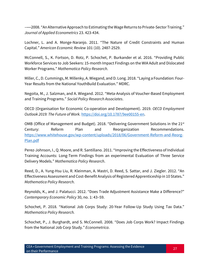–––2008. "An Alternative Approach to Estimating the Wage Returns to Private-Sector Training." *Journal of Applied Econometrics* 23. 423-434.

Lochner, L. and A. Monge-Naranjo. 2011. "The Nature of Credit Constraints and Human Capital." *American Economic Review* 101 (10). 2487-2529.

McConnell, S., K. Fortson, D. Rotz, P. Schochet, P. Burkander et al. 2016. "Providing Public Workforce Services to Job Seekers: 15-month Impact Findings on the WIA Adult and Dislocated Worker Programs." *Mathematica Policy Research*.

Miller, C., D. Cummings, M. Millenky, A. Wiegand, and D. Long. 2018. "Laying a Foundation: Four-Year Results from the National YouthBuild Evaluation." MDRC.

Negoita, M., J. Salzman, and A. Wiegand. 2012. "Meta-Analysis of Voucher-Based Employment and Training Programs." *Social Policy Research Associates*.

OECD (Organisation for Economic Co-operation and Development). 2019. *OECD Employment Outlook 2019: The Future of Work.* [https://doi.org/10.1787/9ee00155-en.](https://doi.org/10.1787/9ee00155-en)

OMB (Office of Management and Budget). 2018. "Delivering Government Solutions in the 21<sup>st</sup> Century: Reform Plan and Reorganization Recommendations. [https://www.whitehouse.gov/wp-content/uploads/2018/06/Government-Reform-and-Reorg-](https://www.whitehouse.gov/wp-content/uploads/2018/06/Government-Reform-and-Reorg-Plan.pdf)[Plan.pdf](https://www.whitehouse.gov/wp-content/uploads/2018/06/Government-Reform-and-Reorg-Plan.pdf)

Perez-Johnson, I., Q. Moore, and R. Santillano. 2011. "Improving the Effectiveness of Individual Training Accounts: Long-Term Findings from an experimental Evaluation of Three Service Delivery Models." *Mathematica Policy Research*.

Reed, D., A. Yung-Hsu Liu, R. Kleinman, A. Mastri, D. Reed, S. Sattar, and J. Ziegler. 2012. "An Effectiveness Assessment and Cost-Benefit Analysis of Registered Apprenticeship in 10 States." *Mathematica Policy Research*.

Reynolds, K., and J. Palatucci. 2012. "Does Trade Adjustment Assistance Make a Difference?" *Contemporary Economic Policy* 30, no. 1: 43–59.

Schochet, P. 2018. "National Job Corps Study: 20-Year Follow-Up Study Using Tax Data." *Mathematica Policy Research.*

Schochet, P., J. Burghardt, and S. McConnell. 2008. "Does Job Corps Work? Impact Findings from the National Job Corp Study." *Econometrica*.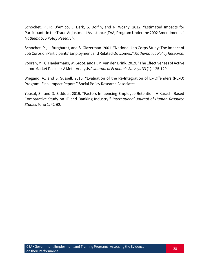Schochet, P., R. D'Amico, J. Berk, S. Dolfin, and N. Wozny. 2012. "Estimated Impacts for Participants in the Trade Adjustment Assistance (TAA) Program Under the 2002 Amendments." *Mathematica Policy Research*.

Schochet, P., J. Burghardt, and S. Glazerman. 2001. "National Job Corps Study: The Impact of Job Corps on Participants' Employment and Related Outcomes." *Mathematica Policy Research*.

Vooren, M., C. Haelermans, W. Groot, and H. M. van den Brink. 2019. "The Effectiveness of Active Labor Market Policies: A Meta-Analysis." *Journal of Economic Surveys* 33 (1). 125-129.

Wiegand, A., and S. Sussell. 2016. "Evaluation of the Re-Integration of Ex-Offenders (RExO) Program: Final Impact Report." Social Policy Research Associates.

Yousuf, S., and D. Siddqui. 2019. "Factors Influencing Employee Retention: A Karachi Based Comparative Study on IT and Banking Industry." *International Journal of Human Resource Studies* 9, no 1: 42-62.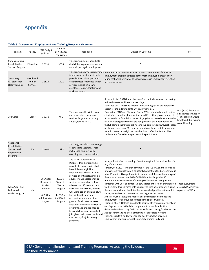## **Appendix**

#### **Table 3. Government Employment and Training Programs Overview**

| Program                                                               | Agency                                 | 2017 Budget<br>(Millions)                                                              | Number<br>Served 2017<br>(Thousands)                                                   | Decription                                                                                                                                                                                                                                                                                                                                                                                                                                                                                                                                                                                                                                                        | <b>Evaluation Outcome</b>                                                                                                                                                                                                                                                                                                                                                                                                                                                                                                                                                                                                                                                                                                                                                                                                                                                                                                                                                                                                                                                                                                                                                                                                                                                                                                                                                                 | Note                                                                                                                    |
|-----------------------------------------------------------------------|----------------------------------------|----------------------------------------------------------------------------------------|----------------------------------------------------------------------------------------|-------------------------------------------------------------------------------------------------------------------------------------------------------------------------------------------------------------------------------------------------------------------------------------------------------------------------------------------------------------------------------------------------------------------------------------------------------------------------------------------------------------------------------------------------------------------------------------------------------------------------------------------------------------------|-------------------------------------------------------------------------------------------------------------------------------------------------------------------------------------------------------------------------------------------------------------------------------------------------------------------------------------------------------------------------------------------------------------------------------------------------------------------------------------------------------------------------------------------------------------------------------------------------------------------------------------------------------------------------------------------------------------------------------------------------------------------------------------------------------------------------------------------------------------------------------------------------------------------------------------------------------------------------------------------------------------------------------------------------------------------------------------------------------------------------------------------------------------------------------------------------------------------------------------------------------------------------------------------------------------------------------------------------------------------------------------------|-------------------------------------------------------------------------------------------------------------------------|
| <b>State Vocational</b><br>Rehabilitation<br>Services Program         | Education                              | 2,899.6                                                                                | 975.4                                                                                  | This program helps individuals<br>disabilities to prepare for, obtain,<br>maintain, or regain employment.                                                                                                                                                                                                                                                                                                                                                                                                                                                                                                                                                         | $\star$                                                                                                                                                                                                                                                                                                                                                                                                                                                                                                                                                                                                                                                                                                                                                                                                                                                                                                                                                                                                                                                                                                                                                                                                                                                                                                                                                                                   |                                                                                                                         |
| Temporary<br>Assistance for<br><b>Needy Families</b>                  | Health and<br>Human<br><b>Services</b> | 2,152.6                                                                                | 190.1                                                                                  | to states and territories to help<br>provide financial support and<br>other services to families. Other<br>services include childcare<br>assistance, job preparation, and<br>work assistance.                                                                                                                                                                                                                                                                                                                                                                                                                                                                     | This program provides grant funds Hamilton and Scrivener (2012) evaluate 12 variations of of the TANF<br>employment program targeted at the most employable group. They<br>found that only 3 were able to show increases in employment retention<br>and advancement.                                                                                                                                                                                                                                                                                                                                                                                                                                                                                                                                                                                                                                                                                                                                                                                                                                                                                                                                                                                                                                                                                                                      |                                                                                                                         |
| Job Corps                                                             | Labor                                  | 1,623.9                                                                                | 48.3                                                                                   | This program offers job training<br>and residential educational<br>services for youth and young<br>adults (ages 16 to 24).                                                                                                                                                                                                                                                                                                                                                                                                                                                                                                                                        | Schochet, et al (2001) found that Job Corps initially increased schooling,<br>reduced arrests, and increased earnings.<br>Schochet, et al (2008) find that the initial earnings gains did not persist<br>except for the older students (20- to 24-year olds).<br>Flores et al (2012) and Chen and Flores, 2015) estimated a small positive<br>effect after controlling for selection into different lengths of treatment.<br>Schochet (2018) found that the earnings gains for the older students (20-<br>to 24-year olds) persisted but did not grow over the longer period. For<br>the full sample there were still no long-run earnings gains. Overall, based<br>on the outcomes over 20 years, the report concludes that the program's<br>benefits do not outweigh the costs but is cost effective for the older<br>students and from the perspective of the participants.                                                                                                                                                                                                                                                                                                                                                                                                                                                                                                            | DOL (2018) found that<br>an accurate evaluation<br>of this program would<br>be difficult due to poor<br>record keeping. |
| Vocational<br>Rehabilitation<br>Services and<br>Employment<br>Program | VA                                     | 1,400.0                                                                                | 132.2                                                                                  | This program offers a wide range<br>of services to veterans. These<br>include job training, skills<br>coaching, and resume writing.                                                                                                                                                                                                                                                                                                                                                                                                                                                                                                                               | $\star$                                                                                                                                                                                                                                                                                                                                                                                                                                                                                                                                                                                                                                                                                                                                                                                                                                                                                                                                                                                                                                                                                                                                                                                                                                                                                                                                                                                   |                                                                                                                         |
| WIOA Adult and<br>Dislocated<br><b>Worker Programs</b>                | Labor                                  | 1,017.2 for<br>Dislocated<br>Worker<br>Program<br>812.8 for<br>Adult Worker<br>Program | 467.5 for<br>Dislocated<br>Worker<br>Program<br>1,108.2 for<br>Adult Worker<br>Program | The WIOA Adult and WIOA<br>Dislocated Worker programs<br>provide the same services but<br>have different eligibility<br>requirements. The WIOA Adult<br>services prioritizes low income<br>adults. The Dislocated Worker<br>services are available to those<br>who are laid off due to a plant<br>closure or downsizing, workers<br>who were laid off and unlikely to<br>find a job in their previous<br>occupation, and some other<br>groups of dislocated workers.<br>Both offer job search assistance<br>programs and are designed to<br>help match workers to available<br>jobs given their current skills, and<br>can also pay for job training<br>programs. | No significant effect on earnings from training for dislocated workers in<br>any of the studies.<br>Forston, et al (2017) find that earnings for the Full WIA and the Core and<br>Intensive-only groups were significantly higher than the Core-only group<br>after 30 months. Using administrative data, the difference in earnings of<br>the Core and Intensive-only the Full WIA is not as large after 30<br>months. There was no effect of training (Full WIA) on earnings when<br>combined with Core and Intensive services for either Adult or Dislocated These evaluations<br>workers for either earnings data source. The cost-benefit analysis using<br>the survey data found that intensive services had positive net benefit to<br>society as a whole but that training had negative net benefit.<br>Andersson, et al (2016) find modest positive effects on earnings and<br>employment for adults, but no effect dor displaced workers.<br>Heinrich, et al (2013) find a moderate positive effect on employment and<br>earnings for those in the Adult program with a smaller effect for<br>dislocated workers. They find a positive effect of training for those in the<br>Adult program and no effect of training for dislocated workers.<br>Hollenbeck (2009) finds evidence of a positive impact of WIA on<br>employment and earnings in the one state studied (Indiana). | assess WIA, which was<br>replaced by WIOA.                                                                              |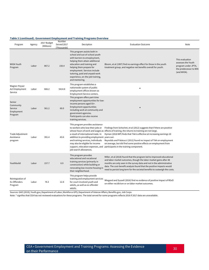#### **Table 3 (continued). Government Employment and Training Programs Overview**

| Program                                                 | Agency | 2017 Budget<br>(Millions) | Number<br>Served 2017<br>(Thousands) | Decription                                                                                                                                                                                                                                                                                                           | <b>Evaluation Outcome</b>                                                                                                                                                                                                                                                                                                                                                                                                                                                                                   | Note                                                                                                  |
|---------------------------------------------------------|--------|---------------------------|--------------------------------------|----------------------------------------------------------------------------------------------------------------------------------------------------------------------------------------------------------------------------------------------------------------------------------------------------------------------|-------------------------------------------------------------------------------------------------------------------------------------------------------------------------------------------------------------------------------------------------------------------------------------------------------------------------------------------------------------------------------------------------------------------------------------------------------------------------------------------------------------|-------------------------------------------------------------------------------------------------------|
| <b>WIOA Youth</b><br>Program                            | Labor  | 867.2                     | 150.4                                | This program assists both in-<br>school and out-of-school youth<br>with barriers to emoployment,<br>helping them attain additional<br>education and training and<br>helping them prepare for<br>employment. Services include<br>tutoring, paid and unpaid work<br>experience, on-the-job training,<br>and mentoring. | Bloom, et al (1997) find no earnings effect for those in the youth<br>treatment group, and negative net benefits overall for youth.                                                                                                                                                                                                                                                                                                                                                                         | This evaluation<br>assesses the Youth<br>program under JPTA,<br>the predecessor to WIA<br>(and WIOA). |
| Wagner-Peyser<br>Act Employment<br>Service              | Labor  | 666.2                     | 5414.8                               | This program establishes a<br>nationwide system of public<br>employment offices known as<br>Employment Service centers.                                                                                                                                                                                              | $\star$                                                                                                                                                                                                                                                                                                                                                                                                                                                                                                     |                                                                                                       |
| Senior<br>Community<br>Service<br>Employment<br>Program | Labor  | 561.2                     | 60.0                                 | This program offers part-time<br>employment opportunities for low-<br>income persons aged 55+.<br>Employment opportunities<br>including work at community and<br>government agencies.<br>Participants can also receive<br>training services.                                                                         | $\star$                                                                                                                                                                                                                                                                                                                                                                                                                                                                                                     |                                                                                                       |
| Trade Adjustment<br>Assistance<br>program               | Labor  | 391.4                     | 43.6                                 | This program provides assistance<br>a result of international trade. In<br>addition to providing employment years out.<br>and training services, individuals<br>may also be eligible for income<br>job search allowances.                                                                                            | to workers who lose their jobs or Findings from Schochet, et al (2012) suggests that if there are positive<br>whose hours of work and wages as effects of training, the returns to training are not large.<br>Hyman (2018 WP) finds that TAA is effective at increasing earnings 10<br>Reynolds and Palatucci (2012) found no impact of TAA on employment<br>on average, but did find some positive effects on employment from<br>support, relocation expenses, and participants in the training component. |                                                                                                       |
| Youthbuild                                              | Labor  | 157.7                     | 6.9                                  | This program provides<br>educational and vocational<br>training services (primarily in<br>construction) while building or<br>renovating low-income housing in<br>their neighborhood.                                                                                                                                 | Miller, et al (2018) found that the program led to improved educational<br>and labor market outcomes, though the labor market gains after 48<br>months are only seen in the survey data and not in the administrative<br>data. The cost-benefit analysis found that the positive impacts would<br>need to persist long term for the societal benefits to outweigh the costs.                                                                                                                                |                                                                                                       |
| Reintegration of<br>Ex-Offenders<br>Program             | Labor  | 78.3                      | 12.8                                 | This program helps provide<br>training and employment services<br>for court-involved youth and<br>adults, as well as ex-offender<br>adults.                                                                                                                                                                          | Wiegand and Sussell (2016) find no evidence of positive impact of RExO<br>on either recidivism or on labor market outcomes.                                                                                                                                                                                                                                                                                                                                                                                 |                                                                                                       |

Sources: GAO (2019); Youth.gov; Department of Labor; Workforce GPS; Department of Veteran Affairs; Benefits.gov; Job Corps.

Note: \* signifies that CEA has not reviewed evaluations for these programs. The total served for some programs reflects 2016 if 2017 data are unavailable.